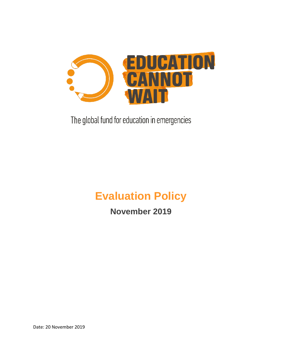

The global fund for education in emergencies

# **Evaluation Policy**

**November 2019**

Date: 20 November 2019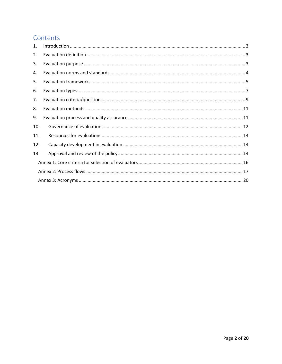# Contents

| $\mathbf{1}$ . |  |  |  |  |
|----------------|--|--|--|--|
| 2.             |  |  |  |  |
| 3.             |  |  |  |  |
| 4.             |  |  |  |  |
| 5.             |  |  |  |  |
| 6.             |  |  |  |  |
| 7.             |  |  |  |  |
| 8.             |  |  |  |  |
| 9.             |  |  |  |  |
| 10.            |  |  |  |  |
| 11.            |  |  |  |  |
| 12.            |  |  |  |  |
| 13.            |  |  |  |  |
|                |  |  |  |  |
|                |  |  |  |  |
|                |  |  |  |  |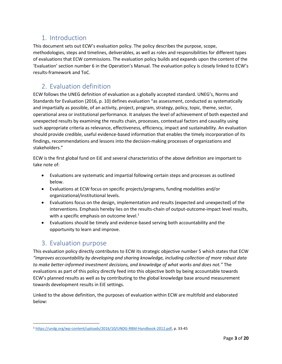## <span id="page-2-0"></span>1. Introduction

This document sets out ECW's evaluation policy. The policy describes the purpose, scope, methodologies, steps and timelines, deliverables, as well as roles and responsibilities for different types of evaluations that ECW commissions. The evaluation policy builds and expands upon the content of the 'Evaluation' section number 6 in the Operation's Manual. The evaluation policy is closely linked to ECW's results-framework and ToC.

# <span id="page-2-1"></span>2. Evaluation definition

ECW follows the UNEG definition of evaluation as a globally accepted standard. UNEG's, Norms and Standards for Evaluation (2016, p. 10) defines evaluation "as assessment, conducted as systematically and impartially as possible, of an activity, project, program, strategy, policy, topic, theme, sector, operational area or institutional performance. It analyses the level of achievement of both expected and unexpected results by examining the results chain, processes, contextual factors and causality using such appropriate criteria as relevance, effectiveness, efficiency, impact and sustainability. An evaluation should provide credible, useful evidence-based information that enables the timely incorporation of its findings, recommendations and lessons into the decision-making processes of organizations and stakeholders."

ECW is the first global fund on EiE and several characteristics of the above definition are important to take note of:

- Evaluations are systematic and impartial following certain steps and processes as outlined below.
- Evaluations at ECW focus on specific projects/programs, funding modalities and/or organizational/institutional levels.
- Evaluations focus on the design, implementation and results (expected and unexpected) of the interventions. Emphasis hereby lies on the results-chain of output-outcome-impact level results, with a specific emphasis on outcome level. $<sup>1</sup>$ </sup>
- Evaluations should be timely and evidence-based serving both accountability and the opportunity to learn and improve.

## <span id="page-2-2"></span>3. Evaluation purpose

This evaluation policy directly contributes to ECW its strategic objective number 5 which states that ECW *"improves accountability by developing and sharing knowledge, including collection of more robust data to make better-informed investment decisions, and knowledge of what works and does not."* The evaluations as part of this policy directly feed into this objective both by being accountable towards ECW's planned results as well as by contributing to the global knowledge base around measurement towards development results in EiE settings.

Linked to the above definition, the purposes of evaluation within ECW are multifold and elaborated below:

 $\overline{a}$ <sup>1</sup> [https://undg.org/wp-content/uploads/2016/10/UNDG-RBM-Handbook-2012.pdf,](https://undg.org/wp-content/uploads/2016/10/UNDG-RBM-Handbook-2012.pdf) p. 33-45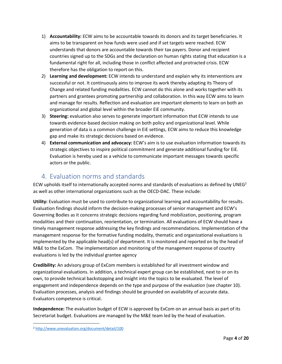- 1) **Accountability:** ECW aims to be accountable towards its donors and its target beneficiaries. It aims to be transparent on how funds were used and if set targets were reached. ECW understands that donors are accountable towards their tax payers. Donor and recipient countries signed up to the SDGs and the declaration on human rights stating that education is a fundamental right for all, including those in conflict affected and protracted crisis. ECW therefore has the obligation to report on this.
- 2) **Learning and development:** ECW intends to understand and explain why its interventions are successful or not. It continuously aims to improve its work thereby adapting its Theory of Change and related funding modalities. ECW cannot do this alone and works together with its partners and grantees promoting partnership and collaboration. In this way ECW aims to learn and manage for results. Reflection and evaluation are important elements to learn on both an organizational and global level within the broader EiE community.
- 3) **Steering:** evaluation also serves to generate important information that ECW intends to use towards evidence-based decision making on both policy and organizational level. While generation of data is a common challenge in EiE settings, ECW aims to reduce this knowledge gap and make its strategic decisions based on evidence.
- 4) **External communication and advocacy:** ECW's aim is to use evaluation information towards its strategic objectives to inspire political commitment and generate additional funding for EiE. Evaluation is hereby used as a vehicle to communicate important messages towards specific actors or the public.

# <span id="page-3-0"></span>4. Evaluation norms and standards

ECW upholds itself to internationally accepted norms and standards of evaluations as defined by UNEG<sup>2</sup> as well as other international organizations such as the OECD-DAC. These include:

**Utility:** Evaluation must be used to contribute to organizational learning and accountability for results. Evaluation findings should inform the decision-making processes of senior management and ECW's Governing Bodies as it concerns strategic decisions regarding fund mobilization, positioning, program modalities and their continuation, reorientation, or termination. All evaluations of ECW should have a timely management response addressing the key findings and recommendations. Implementation of the management response for the formative funding modality, thematic and organizational evaluations is implemented by the applicable head(s) of department. It is monitored and reported on by the head of M&E to the ExCom. The implementation and monitoring of the management response of country evaluations is led by the individual grantee agency

**Credibility:** An advisory group of ExCom members is established for all investment window and organizational evaluations. In addition, a technical expert group can be established, next to or on its own, to provide technical backstopping and insight into the topics to be evaluated. The level of engagement and independence depends on the type and purpose of the evaluation (see chapter 10). Evaluation processes, analysis and findings should be grounded on availability of accurate data. Evaluators competence is critical.

**Independence:** The evaluation budget of ECW is approved by ExCom on an annual basis as part of its Secretariat budget. Evaluations are managed by the M&E team led by the head of evaluation.

 $\overline{a}$ 

<sup>2</sup> <http://www.unevaluation.org/document/detail/100>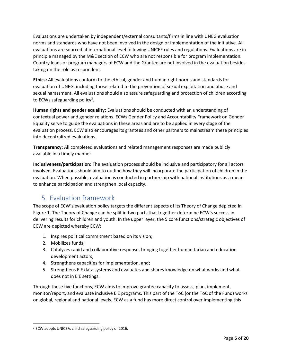Evaluations are undertaken by independent/external consultants/firms in line with UNEG evaluation norms and standards who have not been involved in the design or implementation of the initiative. All evaluations are sourced at international level following UNICEF rules and regulations. Evaluations are in principle managed by the M&E section of ECW who are not responsible for program implementation. Country leads or program managers of ECW and the Grantee are not involved in the evaluation besides taking on the role as respondent.

**Ethics:** All evaluations conform to the ethical, gender and human right norms and standards for evaluation of UNEG, including those related to the prevention of sexual exploitation and abuse and sexual harassment. All evaluations should also assure safeguarding and protection of children according to ECWs safeguarding policy<sup>3</sup>.

**Human rights and gender equality:** Evaluations should be conducted with an understanding of contextual power and gender relations. ECWs Gender Policy and Accountability Framework on Gender Equality serve to guide the evaluations in these areas and are to be applied in every stage of the evaluation process. ECW also encourages its grantees and other partners to mainstream these principles into decentralized evaluations.

**Transparency:** All completed evaluations and related management responses are made publicly available in a timely manner.

**Inclusiveness/participation:** The evaluation process should be inclusive and participatory for all actors involved. Evaluations should aim to outline how they will incorporate the participation of children in the evaluation. When possible, evaluation is conducted in partnership with national institutions as a mean to enhance participation and strengthen local capacity.

# <span id="page-4-0"></span>5. Evaluation framework

The scope of ECW's evaluation policy targets the different aspects of its Theory of Change depicted in Figure 1. The Theory of Change can be split in two parts that together determine ECW's success in delivering results for children and youth. In the upper layer, the 5 core functions/strategic objectives of ECW are depicted whereby ECW:

- 1. Inspires political commitment based on its vision;
- 2. Mobilizes funds;

 $\overline{a}$ 

- 3. Catalyzes rapid and collaborative response, bringing together humanitarian and education development actors;
- 4. Strengthens capacities for implementation, and;
- 5. Strengthens EiE data systems and evaluates and shares knowledge on what works and what does not in EiE settings.

Through these five functions, ECW aims to improve grantee capacity to assess, plan, implement, monitor/report, and evaluate inclusive EiE programs. This part of the ToC (or the ToC of the Fund) works on global, regional and national levels. ECW as a fund has more direct control over implementing this

<sup>3</sup> ECW adopts UNICEFs child safeguarding policy of 2016.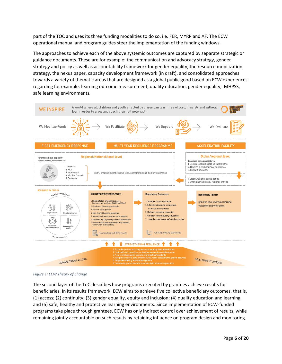part of the TOC and uses its three funding modalities to do so, i.e. FER, MYRP and AF. The ECW operational manual and program guides steer the implementation of the funding windows.

The approaches to achieve each of the above systemic outcomes are captured by separate strategic or guidance documents. These are for example: the communication and advocacy strategy, gender strategy and policy as well as accountability framework for gender equality, the resource mobilization strategy, the nexus paper, capacity development framework (in draft), and consolidated approaches towards a variety of thematic areas that are designed as a global public good based on ECW experiences regarding for example: learning outcome measurement, quality education, gender equality, MHPSS, safe learning environments.



*Figure 1: ECW Theory of Change*

The second layer of the ToC describes how programs executed by grantees achieve results for beneficiaries. In its results framework, ECW aims to achieve five collective beneficiary outcomes, that is, (1) access; (2) continuity; (3) gender equality, equity and inclusion; (4) quality education and learning, and (5) safe, healthy and protective learning environments. Since implementation of ECW-funded programs take place through grantees, ECW has only indirect control over achievement of results, while remaining jointly accountable on such results by retaining influence on program design and monitoring.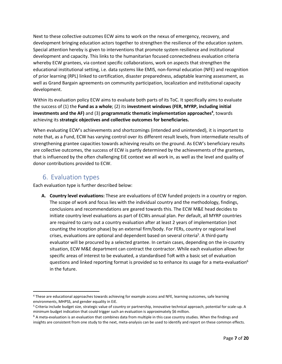Next to these collective outcomes ECW aims to work on the nexus of emergency, recovery, and development bringing education actors together to strengthen the resilience of the education system. Special attention hereby is given to interventions that promote system resilience and institutional development and capacity. This links to the humanitarian focused connectedness evaluation criteria whereby ECW grantees, via context specific collaborations, work on aspects that strengthen the educational institutional setting, i.e. data systems like EMIS, non-formal education (NFE) and recognition of prior learning (RPL) linked to certification, disaster preparedness, adaptable learning assessment, as well as Grand Bargain agreements on community participation, localization and institutional capacity development.

Within its evaluation policy ECW aims to evaluate both parts of its ToC. It specifically aims to evaluate the success of (1) the **Fund as a whole**; (2) its **investment windows (FER, MYRP, including initial investments and the AF)** and (3) **programmatic thematic implementation approaches<sup>4</sup>** , towards achieving its **strategic objectives and collective outcomes for beneficiaries.** 

When evaluating ECW's achievements and shortcomings (intended and unintended), it is important to note that, as a Fund, ECW has varying control over its different result levels, from intermediate results of strengthening grantee capacities towards achieving results on the ground. As ECW's beneficiary results are collective outcomes, the success of ECW is partly determined by the achievements of the grantees, that is influenced by the often challenging EiE context we all work in, as well as the level and quality of donor contributions provided to ECW.

#### <span id="page-6-0"></span>6. Evaluation types

Each evaluation type is further described below:

**A. Country level evaluations:** These are evaluations of ECW funded projects in a country or region. The scope of work and focus lies with the individual country and the methodology, findings, conclusions and recommendations are geared towards this. The ECW M&E head decides to initiate country level evaluations as part of ECWs annual plan. Per default, all MYRP countries are required to carry out a country evaluation after at least 2 years of implementation (not counting the inception phase) by an external firm/body. For FERs, country or regional level crises, evaluations are optional and dependent based on several criteria<sup>5</sup>. A third-party evaluator will be procured by a selected grantee. In certain cases, depending on the in-country situation, ECW M&E department can contract the contractor. While each evaluation allows for specific areas of interest to be evaluated, a standardised ToR with a basic set of evaluation questions and linked reporting format is provided so to enhance its usage for a meta-evaluation<sup>6</sup> in the future.

 $\overline{\phantom{a}}$ <sup>4</sup> These are educational approaches towards achieving for example access and NFE, learning outcomes, safe learning environments, MHPSS, and gender equality in EiE.

<sup>5</sup> Criteria include budget size, strategic value of country or partnership, innovative technical approach, potential for scale-up. A minimum budget indication that could trigger such an evaluation is approximately \$6 million.

 $6$  A meta-evaluation is an evaluation that combines data from multiple in this case country studies. When the findings and insights are consistent from one study to the next, meta-analysis can be used to identify and report on these common effects.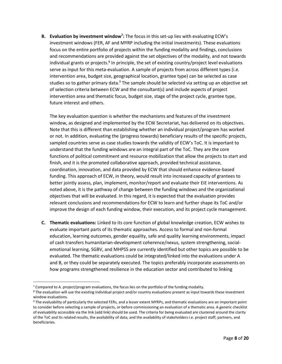**B. Evaluation by investment window<sup>7</sup> :** The focus in this set-up lies with evaluating ECW's investment windows (FER, AF and MYRP including the initial investments). These evaluations focus on the entire portfolio of projects within the funding modality and findings, conclusions and recommendations are provided against the set objectives of the modality, and not towards individual grants or projects.<sup>8</sup> In principle, the set of existing country/project level evaluations serve as input for this meta-evaluation. A sample of projects from across different types (i.e. intervention area, budget size, geographical location, grantee type) can be selected as case studies so to gather primary data.<sup>9</sup> The sample should be selected via setting up an objective set of selection criteria between ECW and the consultant(s) and include aspects of project intervention area and thematic focus, budget size, stage of the project cycle, grantee type, future interest and others.

The key evaluation question is whether the mechanisms and features of the investment window, as designed and implemented by the ECW Secretariat, has delivered on its objectives. Note that this is different than establishing whether an individual project/program has worked or not. In addition, evaluating the (progress towards) beneficiary results of the specific projects, sampled countries serve as case studies towards the validity of ECW's ToC. It is important to understand that the funding windows are an integral part of the ToC. They are the core functions of political commitment and resource mobilization that allow the projects to start and finish, and it is the promoted collaborative approach, provided technical assistance, coordination, innovation, and data provided by ECW that should enhance evidence-based funding. This approach of ECW, in theory, would result into increased capacity of grantees to better jointly assess, plan, implement, monitor/report and evaluate their EiE interventions. As noted above, it is the pathway of change between the funding windows and the organizational objectives that will be evaluated. In this regard, it is expected that the evaluation provides relevant conclusions and recommendations for ECW to learn and further shape its ToC and/or improve the design of each funding window, their execution, and its project cycle management.

**C. Thematic evaluations:** Linked to its core function of global knowledge creation, ECW wishes to evaluate important parts of its thematic approaches. Access to formal and non-formal education, learning outcomes, gender equality, safe and quality learning environments, impact of cash transfers humanitarian-development coherence/nexus, system strengthening, socialemotional learning, SGBV, and MHPSS are currently identified but other topics are possible to be evaluated. The thematic evaluations could be integrated/linked into the evaluations under A and B, or they could be separately executed. The topics preferably incorporate assessments on how programs strengthened resilience in the education sector and contributed to linking

 $\overline{\phantom{a}}$ 

<sup>&</sup>lt;sup>7</sup> Compared to A. project/program evaluations, the focus lies on the portfolio of the funding modality.

<sup>8</sup> The evaluation will use the existing individual project and/or country evaluations present as input towards these investment window evaluations.

<sup>9</sup> The evaluability of particularly the selected FERs, and a lesser extent MYRPs, and thematic evaluations are an important point to consider before selecting a sample of projects, or before commissioning an evaluation of a thematic area. A generic checklist of evaluability accessible via the link (add link) should be used. The criteria for being evaluated are clustered around the clarity of the ToC and its related results, the availability of data, and the availability of stakeholders i.e. project staff, partners, and beneficiaries.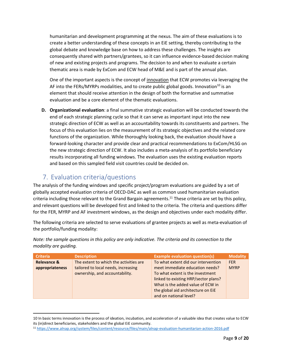humanitarian and development programming at the nexus. The aim of these evaluations is to create a better understanding of these concepts in an EiE setting, thereby contributing to the global debate and knowledge base on how to address these challenges. The insights are consequently shared with partners/grantees, so it can influence evidence-based decision making of new and existing projects and programs. The decision to and when to evaluate a certain thematic area is made by ExCom and ECW head of M&E and is part of the annual plan.

One of the important aspects is the concept of innovation that ECW promotes via leveraging the AF into the FERs/MYRPs modalities, and to create public global goods. Innovation<sup>10</sup> is an element that should receive attention in the design of both the formative and summative evaluation and be a core element of the thematic evaluations.

**D. Organizational evaluation**: a final summative strategic evaluation will be conducted towards the end of each strategic planning cycle so that it can serve as important input into the new strategic direction of ECW as well as an accountability towards its constituents and partners. The focus of this evaluation lies on the measurement of its strategic objectives and the related core functions of the organization. While thoroughly looking back, the evaluation should have a forward-looking character and provide clear and practical recommendations to ExCom/HLSG on the new strategic direction of ECW. It also includes a meta-analysis of its portfolio beneficiary results incorporating all funding windows. The evaluation uses the existing evaluation reports and based on this sampled field visit countries could be decided on.

# <span id="page-8-0"></span>7. Evaluation criteria/questions

 $\overline{\phantom{a}}$ 

The analysis of the funding windows and specific project/program evaluations are guided by a set of globally accepted evaluation criteria of OECD-DAC as well as common used humanitarian evaluation criteria including those relevant to the Grand Bargain agreements.<sup>11</sup> These criteria are set by this policy, and relevant questions will be developed first and linked to the criteria. The criteria and questions differ for the FER, MYRP and AF investment windows, as the design and objectives under each modality differ.

The following criteria are selected to serve evaluations of grantee projects as well as meta-evaluation of the portfolio/funding modality:

*Note: the sample questions in this policy are only indicative. The criteria and its connection to the modality are guiding.*

| <b>Criteria</b>        | <b>Description</b>                     | <b>Example evaluation question(s)</b> | <b>Modality</b> |
|------------------------|----------------------------------------|---------------------------------------|-----------------|
| <b>Relevance &amp;</b> | The extent to which the activities are | To what extent did our intervention   | <b>FER</b>      |
| appropriateness        | tailored to local needs, increasing    | meet immediate education needs?       | <b>MYRP</b>     |
|                        | ownership, and accountability.         | To what extent is the investment      |                 |
|                        |                                        | linked to existing HRP/sector plans?  |                 |
|                        |                                        | What is the added value of ECW in     |                 |
|                        |                                        | the global aid architecture on EiE    |                 |
|                        |                                        | and on national level?                |                 |

<sup>10</sup> In basic terms innovation is the process of ideation, incubation, and acceleration of a valuable idea that creates value to ECW its (in)direct beneficiaries, stakeholders and the global EiE community.

<sup>11</sup> <https://www.alnap.org/system/files/content/resource/files/main/alnap-evaluation-humanitarian-action-2016.pdf>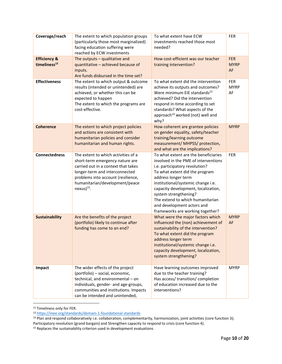| Coverage/reach<br><b>Efficiency &amp;</b><br>timeliness <sup>12</sup> | The extent to which population groups<br>(particularly those most marginalized)<br>facing education suffering were<br>reached by ECW investments<br>The outputs $-$ qualitative and<br>quantitative - achieved because of<br>inputs.<br>Are funds disbursed in the time set? | To what extent have ECW<br>investments reached those most<br>needed?<br>How cost-efficient was our teacher<br>training intervention?                                                                                                                                                                                                                                                | <b>FER</b><br><b>FER</b><br><b>MYRP</b><br>AF |
|-----------------------------------------------------------------------|------------------------------------------------------------------------------------------------------------------------------------------------------------------------------------------------------------------------------------------------------------------------------|-------------------------------------------------------------------------------------------------------------------------------------------------------------------------------------------------------------------------------------------------------------------------------------------------------------------------------------------------------------------------------------|-----------------------------------------------|
| <b>Effectiveness</b>                                                  | The extent to which output & outcome<br>results (intended or unintended) are<br>achieved, or whether this can be<br>expected to happen<br>The extent to which the programs are<br>cost-effective.                                                                            | To what extent did the intervention<br>achieve its outputs and outcomes?<br>Were minimum EiE standards <sup>13</sup><br>achieved? Did the intervention<br>respond in-time according to set<br>standards? What aspects of the<br>approach <sup>14</sup> worked (not) well and<br>why?                                                                                                | <b>FER</b><br><b>MYRP</b><br>AF               |
| <b>Coherence</b>                                                      | The extent to which project policies<br>and actions are consistent with<br>humanitarian policies and consider<br>humanitarian and human rights.                                                                                                                              | How coherent are grantee policies<br>on gender equality, safety/teacher<br>training/learning outcome<br>measurement/ MHPSS/ protection,<br>and what are the implications?                                                                                                                                                                                                           | <b>MYRP</b>                                   |
| <b>Connectedness</b>                                                  | The extent to which activities of a<br>short-term emergency nature are<br>carried out in a context that takes<br>longer-term and interconnected<br>problems into account (resilience,<br>humanitarian/development/peace<br>$nexus)$ <sup>15</sup> .                          | To what extent are the beneficiaries<br>involved in the PME of interventions<br>i.e. participatory revolution?<br>To what extent did the program<br>address longer term<br>institutional/systemic change i.e.<br>capacity development, localization,<br>system strengthening?<br>The extend to which humanitarian<br>and development actors and<br>frameworks are working together? | <b>FER</b>                                    |
| <b>Sustainability</b>                                                 | Are the benefits of the project<br>(portfolio) likely to continue after<br>funding has come to an end?                                                                                                                                                                       | What were the major factors which<br>influenced the (non) achievement of<br>sustainability of the intervention?<br>To what extent did the program<br>address longer term<br>institutional/systemic change i.e.<br>capacity development, localization,<br>system strengthening?                                                                                                      | <b>MYRP</b><br>AF                             |
| Impact                                                                | The wider effects of the project<br>(portfolio) - social, economic,<br>technical, and environmental - on<br>individuals, gender- and age-groups,<br>communities and institutions. Impacts<br>can be intended and unintended,                                                 | Have learning outcomes improved<br>due to the teacher training?<br>Has access/ transition/ completion<br>of education increased due to the<br>interventions?                                                                                                                                                                                                                        | <b>MYRP</b>                                   |

 $\overline{a}$ <sup>12</sup> Timeliness only for FER.

<sup>13</sup> <https://inee.org/standards/domain-1-foundational-standards>

<sup>15</sup> Replaces the sustainability criterion used in development evaluations

<sup>14</sup> Plan and respond collaboratively i.e. collaboration, complementarity, harmonization, joint activities (core function 3); Participatory revolution (grand bargain) and Strengthen capacity to respond to crisis (core function 4).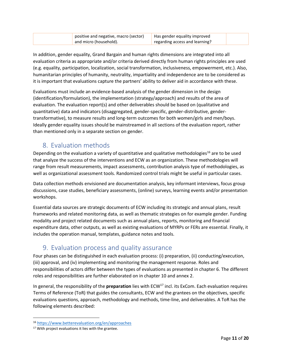| positive and negative, macro (sector) | Has gender equality improved   |  |
|---------------------------------------|--------------------------------|--|
| and micro (household).                | regarding access and learning? |  |

In addition, gender equality, Grand Bargain and human rights dimensions are integrated into all evaluation criteria as appropriate and/or criteria derived directly from human rights principles are used (e.g. equality, participation, localization, social transformation, inclusiveness, empowerment, etc.). Also, humanitarian principles of humanity, neutrality, impartiality and independence are to be considered as it is important that evaluations capture the partners' ability to deliver aid in accordance with these.

Evaluations must include an evidence-based analysis of the gender dimension in the design (identification/formulation), the implementation (strategy/approach) and results of the area of evaluation. The evaluation report(s) and other deliverables should be based on (qualitative and quantitative) data and indicators (disaggregated, gender-specific, gender-distributive, gendertransformative), to measure results and long-term outcomes for both women/girls and men/boys. Ideally gender equality issues should be mainstreamed in all sections of the evaluation report, rather than mentioned only in a separate section on gender.

#### <span id="page-10-0"></span>8. Evaluation methods

Depending on the evaluation a variety of quantitative and qualitative methodologies<sup>16</sup> are to be used that analyze the success of the interventions and ECW as an organization. These methodologies will range from result measurements, impact assessments, contribution analysis type of methodologies, as well as organizational assessment tools. Randomized control trials might be useful in particular cases.

Data collection methods envisioned are documentation analysis, key informant interviews, focus group discussions, case studies, beneficiary assessments, (online) surveys, learning events and/or presentation workshops.

Essential data sources are strategic documents of ECW including its strategic and annual plans, result frameworks and related monitoring data, as well as thematic strategies on for example gender. Funding modality and project related documents such as annual plans, reports, monitoring and financial expenditure data, other outputs, as well as existing evaluations of MYRPs or FERs are essential. Finally, it includes the operation manual, templates, guidance notes and tools.

## <span id="page-10-1"></span>9. Evaluation process and quality assurance

Four phases can be distinguished in each evaluation process: (i) preparation, (ii) conducting/execution, (iii) approval, and (iv) implementing and monitoring the management response. Roles and responsibilities of actors differ between the types of evaluations as presented in chapter 6. The different roles and responsibilities are further elaborated on in chapter 10 and annex 2.

In general, the responsibility of the **preparation** lies with ECW<sup>17</sup> incl. its ExCom. Each evaluation requires Terms of Reference (ToR) that guides the consultants, ECW and the grantees on the objectives, specific evaluations questions, approach, methodology and methods, time-line, and deliverables. A ToR has the following elements described:

 $\overline{\phantom{a}}$ 

<sup>16</sup> <https://www.betterevaluation.org/en/approaches>

<sup>&</sup>lt;sup>17</sup> With project evaluations it lies with the grantee.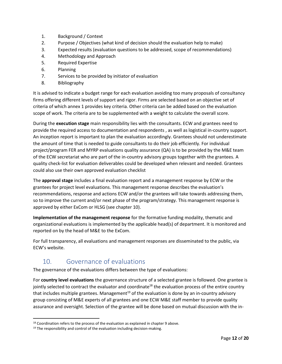- 1. Background / Context
- 2. Purpose / Objectives (what kind of decision should the evaluation help to make)
- 3. Expected results (evaluation questions to be addressed, scope of recommendations)
- 4. Methodology and Approach
- 5. Required Expertise
- 6. Planning
- 7. Services to be provided by initiator of evaluation
- 8. Bibliography

It is advised to indicate a budget range for each evaluation avoiding too many proposals of consultancy firms offering different levels of support and rigor. Firms are selected based on an objective set of criteria of which annex 1 provides key criteria. Other criteria can be added based on the evaluation scope of work. The criteria are to be supplemented with a weight to calculate the overall score.

During the **execution stage** main responsibility lies with the consultants. ECW and grantees need to provide the required access to documentation and respondents , as well as logistical in-country support. An inception report is important to plan the evaluation accordingly. Grantees should not underestimate the amount of time that is needed to guide consultants to do their job efficiently. For individual project/program FER and MYRP evaluations quality assurance (QA) is to be provided by the M&E team of the ECW secretariat who are part of the in-country advisory groups together with the grantees. A quality check-list for evaluation deliverables could be developed when relevant and needed. Grantees could also use their own approved evaluation checklist

The **approval stage** includes a final evaluation report and a management response by ECW or the grantees for project level evaluations. This management response describes the evaluation's recommendations, response and actions ECW and/or the grantees will take towards addressing them, so to improve the current and/or next phase of the program/strategy. This management response is approved by either ExCom or HLSG (see chapter 10).

**Implementation of the management response** for the formative funding modality, thematic and organizational evaluations is implemented by the applicable head(s) of department. It is monitored and reported on by the head of M&E to the ExCom.

For full transparency, all evaluations and management responses are disseminated to the public, via ECW's website.

# <span id="page-11-0"></span>10. Governance of evaluations

The governance of the evaluations differs between the type of evaluations:

For **country level evaluations** the governance structure of a selected grantee is followed. One grantee is jointly selected to contract the evaluator and coordinate<sup>18</sup> the evaluation process of the entire country that includes multiple grantees. Management<sup>19</sup> of the evaluation is done by an in-country advisory group consisting of M&E experts of all grantees and one ECW M&E staff member to provide quality assurance and oversight. Selection of the grantee will be done based on mutual discussion with the in-

 $\overline{a}$ 

<sup>&</sup>lt;sup>18</sup> Coordination refers to the process of the evaluation as explained in chapter 9 above.

 $19$  The responsibility and control of the evaluation including decision-making.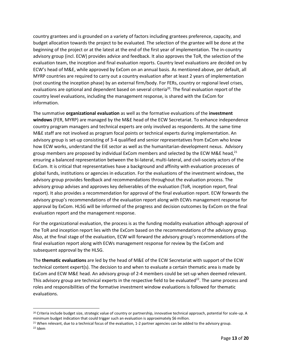country grantees and is grounded on a variety of factors including grantees preference, capacity, and budget allocation towards the project to be evaluated. The selection of the grantee will be done at the beginning of the project or at the latest at the end of the first year of implementation. The in-country advisory group (incl. ECW) provides advice and feedback. It also approves the ToR, the selection of the evaluation team, the inception and final evaluation reports. Country level evaluations are decided on by ECW's head of M&E, while approved by ExCom on an annual basis. As mentioned above, per default, all MYRP countries are required to carry out a country evaluation after at least 2 years of implementation (not counting the inception phase) by an external firm/body. For FERs, country or regional level crises, evaluations are optional and dependent based on several criteria<sup>20</sup>. The final evaluation report of the country level evaluations, including the management response, is shared with the ExCom for information.

The summative **organizational evaluation** as well as the formative evaluations of the **investment windows** (FER, MYRP) are managed by the M&E head of the ECW Secretariat. To enhance independence country program managers and technical experts are only involved as respondents. At the same time M&E staff are not involved as program focal points or technical experts during implementation. An advisory group is set-up consisting of 3-4 qualified and senior representatives from ExCom who know how ECW works, understand the EiE sector as well as the humanitarian-development nexus. Advisory group members are proposed by individual ExCom members and selected by the ECW M&E head,<sup>21</sup> ensuring a balanced representation between the bi-lateral, multi-lateral, and civil-society actors of the ExCom. It is critical that representatives have a background and affinity with evaluation processes of global funds, institutions or agencies in education. For the evaluations of the investment windows, the advisory group provides feedback and recommendations throughout the evaluation process. The advisory group advises and approves key deliverables of the evaluation (ToR, inception report, final report). It also provides a recommendation for approval of the final evaluation report. ECW forwards the advisory group's recommendations of the evaluation report along with ECWs management response for approval by ExCom. HLSG will be informed of the progress and decision outcomes by ExCom on the final evaluation report and the management response.

For the organizational evaluation, the process is as the funding modality evaluation although approval of the ToR and inception report lies with the ExCom based on the recommendations of the advisory group. Also, at the final stage of the evaluation, ECW will forward the advisory group's recommendations of the final evaluation report along with ECWs management response for review by the ExCom and subsequent approval by the HLSG.

The **thematic evaluations** are led by the head of M&E of the ECW Secretariat with support of the ECW technical content expert(s). The decision to and when to evaluate a certain thematic area is made by ExCom and ECW M&E head. An advisory group of 2-4 members could be set-up when deemed relevant. This advisory group are technical experts in the respective field to be evaluated<sup>22</sup>. The same process and roles and responsibilities of the formative investment window evaluations is followed for thematic evaluations.

 $\overline{\phantom{a}}$ 

<sup>&</sup>lt;sup>20</sup> Criteria include budget size, strategic value of country or partnership, innovative technical approach, potential for scale-up. A minimum budget indication that could trigger such an evaluation is approximately \$6 million.

<sup>&</sup>lt;sup>21</sup> When relevant, due to a technical focus of the evaluation, 1-2 partner agencies can be added to the advisory group. <sup>22</sup> Idem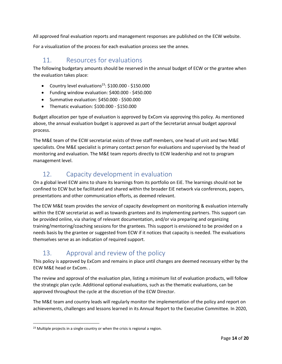All approved final evaluation reports and management responses are published on the ECW website.

<span id="page-13-0"></span>For a visualization of the process for each evaluation process see the annex.

#### 11. Resources for evaluations

The following budgetary amounts should be reserved in the annual budget of ECW or the grantee when the evaluation takes place:

- Country level evaluations<sup>23</sup>:  $$100.000 $150.000$
- Funding window evaluation: \$400.000 \$450.000
- Summative evaluation: \$450.000 \$500.000
- Thematic evaluation: \$100.000 \$150.000

Budget allocation per type of evaluation is approved by ExCom via approving this policy. As mentioned above, the annual evaluation budget is approved as part of the Secretariat annual budget approval process.

The M&E team of the ECW secretariat exists of three staff members, one head of unit and two M&E specialists. One M&E specialist is primary contact person for evaluations and supervised by the head of monitoring and evaluation. The M&E team reports directly to ECW leadership and not to program management level.

# <span id="page-13-1"></span>12. Capacity development in evaluation

On a global level ECW aims to share its learnings from its portfolio on EiE. The learnings should not be confined to ECW but be facilitated and shared within the broader EiE network via conferences, papers, presentations and other communication efforts, as deemed relevant.

The ECW M&E team provides the service of capacity development on monitoring & evaluation internally within the ECW secretariat as well as towards grantees and its implementing partners. This support can be provided online, via sharing of relevant documentation, and/or via preparing and organizing training/mentoring/coaching sessions for the grantees. This support is envisioned to be provided on a needs basis by the grantee or suggested from ECW if it notices that capacity is needed. The evaluations themselves serve as an indication of required support.

# <span id="page-13-2"></span>13. Approval and review of the policy

This policy is approved by ExCom and remains in place until changes are deemed necessary either by the ECW M&E head or ExCom. .

The review and approval of the evaluation plan, listing a minimum list of evaluation products, will follow the strategic plan cycle. Additional optional evaluations, such as the thematic evaluations, can be approved throughout the cycle at the discretion of the ECW Director.

The M&E team and country leads will regularly monitor the implementation of the policy and report on achievements, challenges and lessons learned in its Annual Report to the Executive Committee. In 2020,

 $\overline{a}$ 

<sup>&</sup>lt;sup>23</sup> Multiple projects in a single country or when the crisis is regional a region.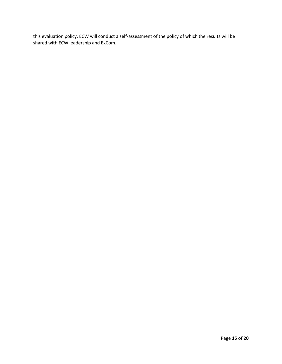this evaluation policy, ECW will conduct a self-assessment of the policy of which the results will be shared with ECW leadership and ExCom.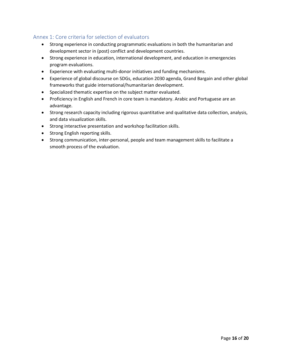#### <span id="page-15-0"></span>Annex 1: Core criteria for selection of evaluators

- Strong experience in conducting programmatic evaluations in both the humanitarian and development sector in (post) conflict and development countries.
- Strong experience in education, international development, and education in emergencies program evaluations.
- Experience with evaluating multi-donor initiatives and funding mechanisms.
- Experience of global discourse on SDGs, education 2030 agenda, Grand Bargain and other global frameworks that guide international/humanitarian development.
- Specialized thematic expertise on the subject matter evaluated.
- Proficiency in English and French in core team is mandatory. Arabic and Portuguese are an advantage.
- Strong research capacity including rigorous quantitative and qualitative data collection, analysis, and data visualization skills.
- Strong interactive presentation and workshop facilitation skills.
- Strong English reporting skills.
- Strong communication, inter-personal, people and team management skills to facilitate a smooth process of the evaluation.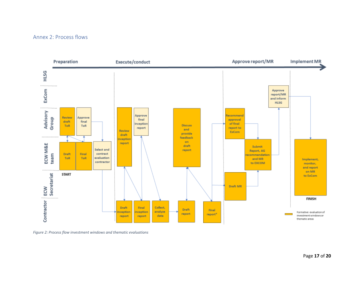#### Annex 2: Process flows

<span id="page-16-0"></span>

*Figure 2: Process flow investment windows and thematic evaluations*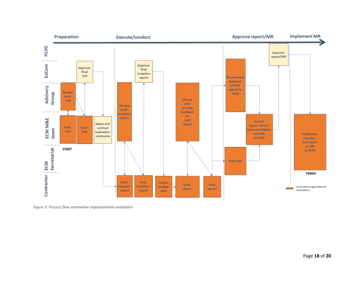

*Figure 3: Process flow summative organizational evaluation*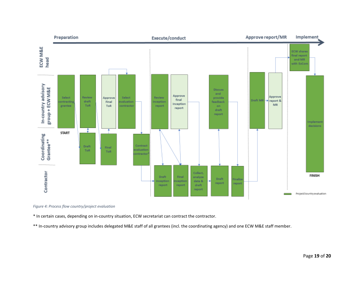

*Figure 4: Process flow country/project evaluation*

\* In certain cases, depending on in-country situation, ECW secretariat can contract the contractor.

\*\* In-country advisory group includes delegated M&E staff of all grantees (incl. the coordinating agency) and one ECW M&E staff member.